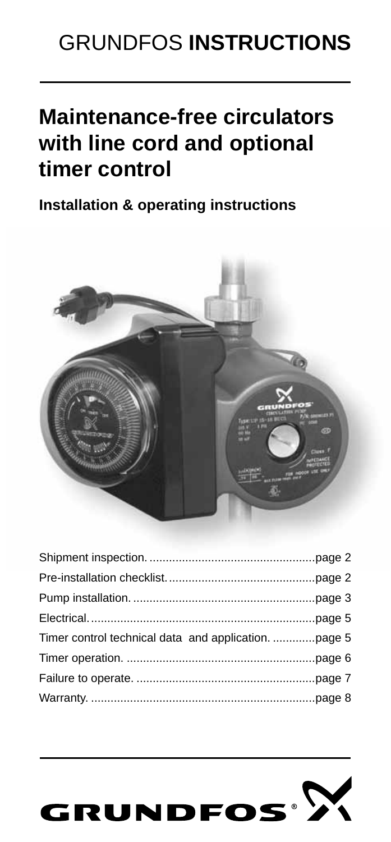# GRUNDFOS **INSTRUCTIONS**

# **Maintenance-free circulators with line cord and optional timer control**

**Installation & operating instructions**



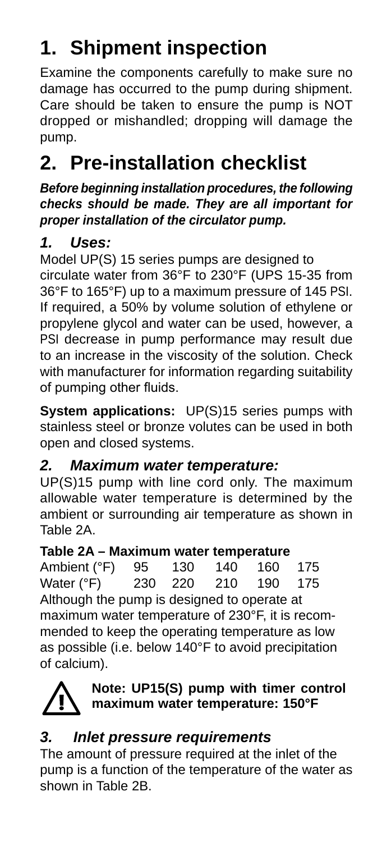# **1. Shipment inspection**

Examine the components carefully to make sure no damage has occurred to the pump during shipment. Care should be taken to ensure the pump is NOT dropped or mishandled; dropping will damage the pump.

## **2. Pre-installation checklist**

*Before beginning installation procedures, the following checks should be made. They are all important for proper installation of the circulator pump.*

### *1. Uses:*

Model UP(S) 15 series pumps are designed to circulate water from 36°F to 230°F (UPS 15-35 from 36°F to 165°F) up to a maximum pressure of 145 PSI. If required, a 50% by volume solution of ethylene or propylene glycol and water can be used, however, a PSI decrease in pump performance may result due to an increase in the viscosity of the solution. Check with manufacturer for information regarding suitability of pumping other fluids.

**System applications:** UP(S)15 series pumps with stainless steel or bronze volutes can be used in both open and closed systems.

### *2. Maximum water temperature:*

UP(S)15 pump with line cord only. The maximum allowable water temperature is determined by the ambient or surrounding air temperature as shown in Table 2A.

### **Table 2A – Maximum water temperature**

Ambient (°F) 95 130 140 160 175<br>Water (°F) 230 220 210 190 175 Water (°F) Although the pump is designed to operate at maximum water temperature of 230°F, it is recommended to keep the operating temperature as low as possible (i.e. below 140°F to avoid precipitation of calcium).



### **Note: UP15(S) pump with timer control maximum water temperature: 150°F**

### *3. Inlet pressure requirements*

The amount of pressure required at the inlet of the pump is a function of the temperature of the water as shown in Table 2B.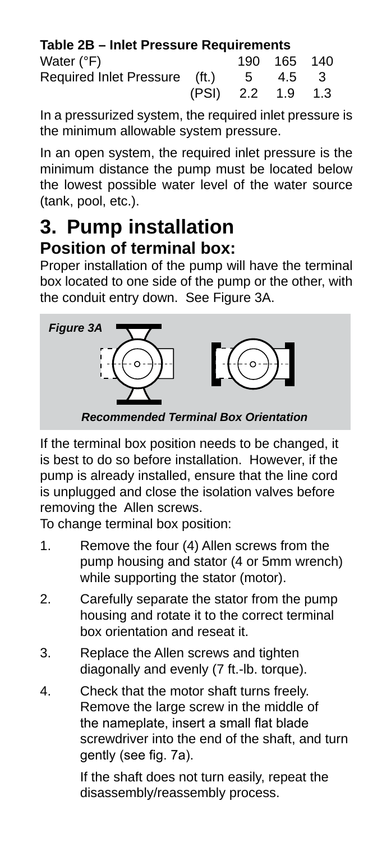| Table 2B - Inlet Pressure Requirements |       |         |             |     |
|----------------------------------------|-------|---------|-------------|-----|
| Water (°F)                             |       |         | 190 165 140 |     |
| Required Inlet Pressure (ft.)          |       | 5       | 4.5         | -3  |
|                                        | (PSI) | 2.2 1.9 |             | 1.3 |

In a pressurized system, the required inlet pressure is the minimum allowable system pressure.

In an open system, the required inlet pressure is the minimum distance the pump must be located below the lowest possible water level of the water source (tank, pool, etc.).

### **3. Pump installation Position of terminal box:**

Proper installation of the pump will have the terminal box located to one side of the pump or the other, with the conduit entry down. See Figure 3A.



If the terminal box position needs to be changed, it is best to do so before installation. However, if the pump is already installed, ensure that the line cord is unplugged and close the isolation valves before removing the Allen screws.

To change terminal box position:

- 1. Remove the four (4) Allen screws from the pump housing and stator (4 or 5mm wrench) while supporting the stator (motor).
- 2. Carefully separate the stator from the pump housing and rotate it to the correct terminal box orientation and reseat it.
- 3. Replace the Allen screws and tighten diagonally and evenly (7 ft.-lb. torque).
- 4. Check that the motor shaft turns freely. Remove the large screw in the middle of the nameplate, insert a small flat blade screwdriver into the end of the shaft, and turn gently (see fig. 7a).

If the shaft does not turn easily, repeat the disassembly/reassembly process.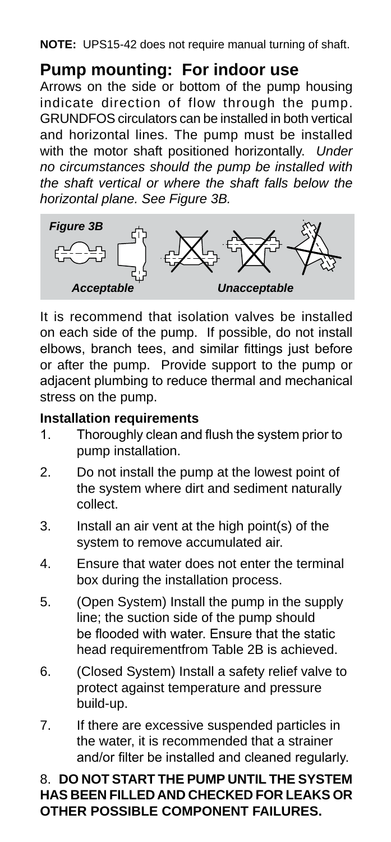**NOTE:** UPS15-42 does not require manual turning of shaft.

### **Pump mounting: For indoor use**

Arrows on the side or bottom of the pump housing indicate direction of flow through the pump. GRUNDFOS circulators can be installed in both vertical and horizontal lines. The pump must be installed with the motor shaft positioned horizontally. *Under no circumstances should the pump be installed with the shaft vertical or where the shaft falls below the horizontal plane. See Figure 3B.*



It is recommend that isolation valves be installed on each side of the pump. If possible, do not install elbows, branch tees, and similar fittings just before or after the pump. Provide support to the pump or adjacent plumbing to reduce thermal and mechanical stress on the pump.

#### **Installation requirements**

- 1. Thoroughly clean and flush the system prior to pump installation.
- 2. Do not install the pump at the lowest point of the system where dirt and sediment naturally collect.
- 3. Install an air vent at the high point(s) of the system to remove accumulated air.
- 4. Ensure that water does not enter the terminal box during the installation process.
- 5. (Open System) Install the pump in the supply line; the suction side of the pump should be flooded with water. Ensure that the static head requirementfrom Table 2B is achieved.
- 6. (Closed System) Install a safety relief valve to protect against temperature and pressure build-up.
- 7. If there are excessive suspended particles in the water, it is recommended that a strainer and/or filter be installed and cleaned regularly.

#### 8. **DO NOT START THE PUMP UNTIL THE SYSTEM HAS BEEN FILLED AND CHECKED FOR LEAKS OR OTHER POSSIBLE COMPONENT FAILURES.**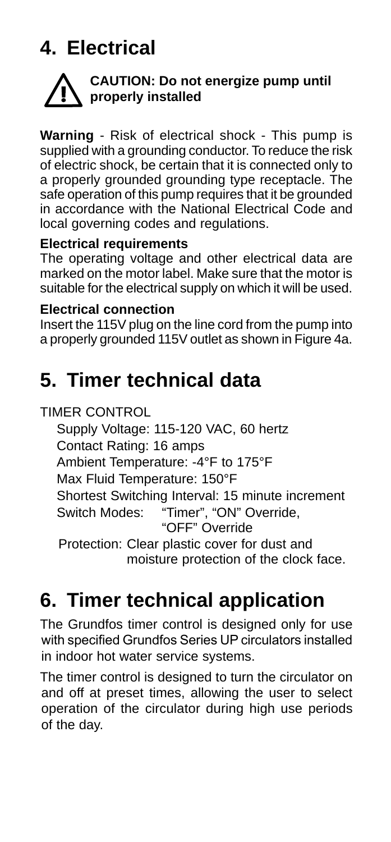# **4. Electrical**



### **CAUTION: Do not energize pump until properly installed**

**Warning** - Risk of electrical shock - This pump is supplied with a grounding conductor. To reduce the risk of electric shock, be certain that it is connected only to a properly grounded grounding type receptacle. The safe operation of this pump requires that it be grounded in accordance with the National Electrical Code and local governing codes and regulations.

#### **Electrical requirements**

The operating voltage and other electrical data are marked on the motor label. Make sure that the motor is suitable for the electrical supply on which it will be used.

#### **Electrical connection**

Insert the 115V plug on the line cord from the pump into a properly grounded 115V outlet as shown in Figure 4a.

## **5. Timer technical data**

TIMER CONTROL

 Supply Voltage: 115-120 VAC, 60 hertz Contact Rating: 16 amps Ambient Temperature: -4°F to 175°F Max Fluid Temperature: 150°F Shortest Switching Interval: 15 minute increment Switch Modes: "Timer", "ON" Override, "OFF" Override Protection: Clear plastic cover for dust and moisture protection of the clock face.

## **6. Timer technical application**

The Grundfos timer control is designed only for use with specified Grundfos Series UP circulators installed in indoor hot water service systems.

The timer control is designed to turn the circulator on and off at preset times, allowing the user to select operation of the circulator during high use periods of the day.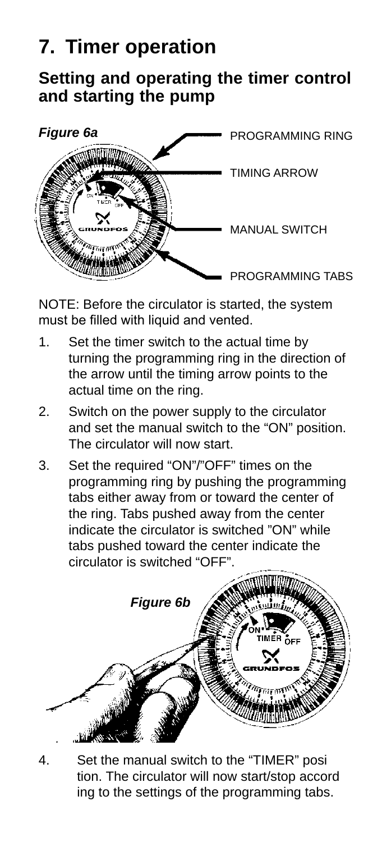# **7. Timer operation**

### **Setting and operating the timer control and starting the pump**



NOTE: Before the circulator is started, the system must be filled with liquid and vented.

- 1. Set the timer switch to the actual time by turning the programming ring in the direction of the arrow until the timing arrow points to the actual time on the ring.
- 2. Switch on the power supply to the circulator and set the manual switch to the "ON" position. The circulator will now start.
- 3. Set the required "ON"/"OFF" times on the programming ring by pushing the programming tabs either away from or toward the center of the ring. Tabs pushed away from the center indicate the circulator is switched "ON" while tabs pushed toward the center indicate the circulator is switched "OFF".



Set the manual switch to the "TIMER" posi tion. The circulator will now start/stop accord ing to the settings of the programming tabs.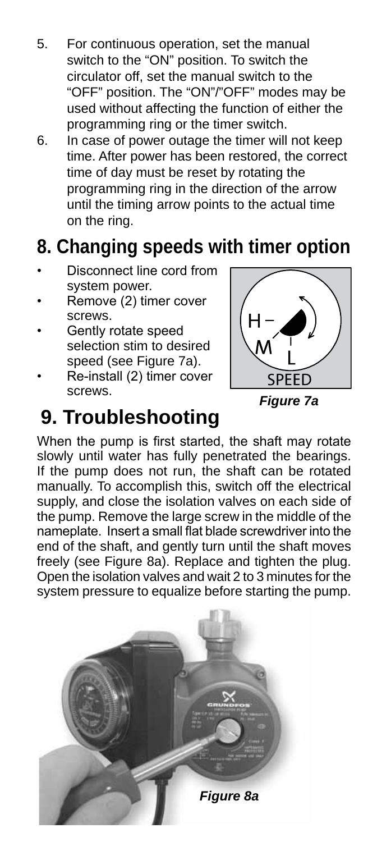- 5. For continuous operation, set the manual switch to the "ON" position. To switch the circulator off, set the manual switch to the "OFF" position. The "ON"/"OFF" modes may be used without affecting the function of either the programming ring or the timer switch.
- 6. In case of power outage the timer will not keep time. After power has been restored, the correct time of day must be reset by rotating the programming ring in the direction of the arrow until the timing arrow points to the actual time on the ring.

## **8. Changing speeds with timer option**

- Disconnect line cord from system power.
- Remove (2) timer cover screws.
- Gently rotate speed selection stim to desired speed (see Figure 7a).
- Re-install (2) timer cover screws.



*Figure 7a*

## **9. Troubleshooting**

When the pump is first started, the shaft may rotate slowly until water has fully penetrated the bearings. If the pump does not run, the shaft can be rotated manually. To accomplish this, switch off the electrical supply, and close the isolation valves on each side of the pump. Remove the large screw in the middle of the nameplate. Insert a small flat blade screwdriver into the end of the shaft, and gently turn until the shaft moves freely (see Figure 8a). Replace and tighten the plug. Open the isolation valves and wait 2 to 3 minutes for the system pressure to equalize before starting the pump.